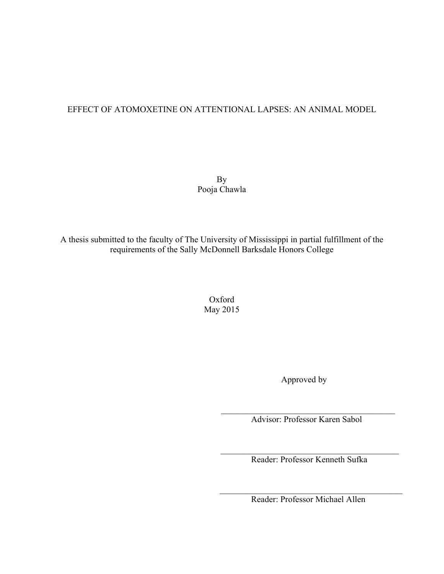## EFFECT OF ATOMOXETINE ON ATTENTIONAL LAPSES: AN ANIMAL MODEL

By Pooja Chawla

A thesis submitted to the faculty of The University of Mississippi in partial fulfillment of the requirements of the Sally McDonnell Barksdale Honors College

> Oxford May 2015

 $\mathcal{L}_\mathcal{L} = \{ \mathcal{L}_\mathcal{L} = \{ \mathcal{L}_\mathcal{L} \} \cup \{ \mathcal{L}_\mathcal{L} = \{ \mathcal{L}_\mathcal{L} \} \cup \{ \mathcal{L}_\mathcal{L} = \{ \mathcal{L}_\mathcal{L} \} \cup \{ \mathcal{L}_\mathcal{L} = \{ \mathcal{L}_\mathcal{L} \} \cup \{ \mathcal{L}_\mathcal{L} = \{ \mathcal{L}_\mathcal{L} \} \cup \{ \mathcal{L}_\mathcal{L} = \{ \mathcal{L}_\mathcal{L} \} \cup \{ \mathcal{L}_\$ 

Approved by

 $\mathcal{L}_\text{max}$  , and the set of the set of the set of the set of the set of the set of the set of the set of the set of the set of the set of the set of the set of the set of the set of the set of the set of the set of the Advisor: Professor Karen Sabol

Reader: Professor Kenneth Sufka

 $\mathcal{L}_\text{max}$  , where  $\mathcal{L}_\text{max}$  and  $\mathcal{L}_\text{max}$  and  $\mathcal{L}_\text{max}$  and  $\mathcal{L}_\text{max}$ Reader: Professor Michael Allen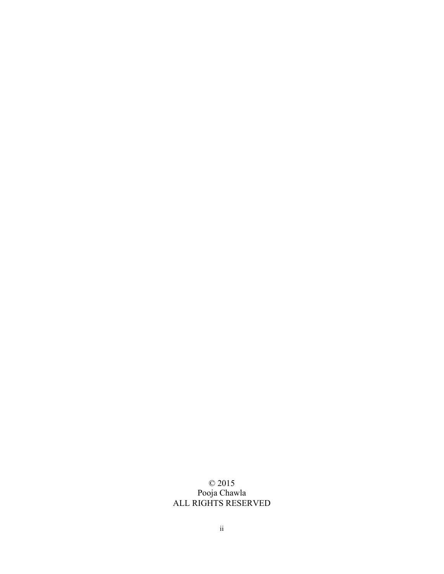## © 2015 Pooja Chawla ALL RIGHTS RESERVED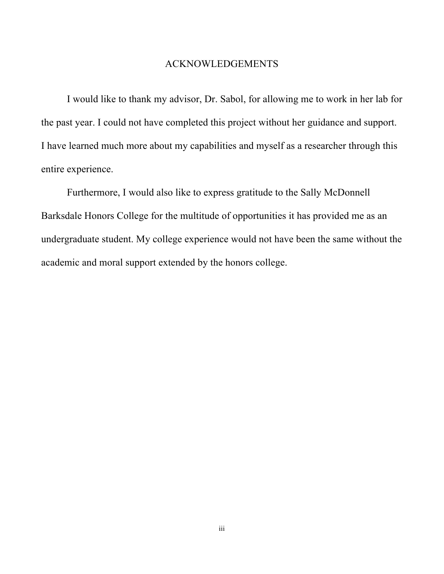## ACKNOWLEDGEMENTS

I would like to thank my advisor, Dr. Sabol, for allowing me to work in her lab for the past year. I could not have completed this project without her guidance and support. I have learned much more about my capabilities and myself as a researcher through this entire experience.

Furthermore, I would also like to express gratitude to the Sally McDonnell Barksdale Honors College for the multitude of opportunities it has provided me as an undergraduate student. My college experience would not have been the same without the academic and moral support extended by the honors college.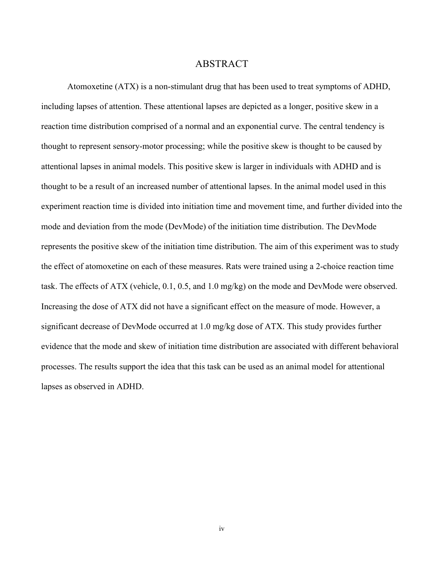## ABSTRACT

Atomoxetine (ATX) is a non-stimulant drug that has been used to treat symptoms of ADHD, including lapses of attention. These attentional lapses are depicted as a longer, positive skew in a reaction time distribution comprised of a normal and an exponential curve. The central tendency is thought to represent sensory-motor processing; while the positive skew is thought to be caused by attentional lapses in animal models. This positive skew is larger in individuals with ADHD and is thought to be a result of an increased number of attentional lapses. In the animal model used in this experiment reaction time is divided into initiation time and movement time, and further divided into the mode and deviation from the mode (DevMode) of the initiation time distribution. The DevMode represents the positive skew of the initiation time distribution. The aim of this experiment was to study the effect of atomoxetine on each of these measures. Rats were trained using a 2-choice reaction time task. The effects of ATX (vehicle, 0.1, 0.5, and 1.0 mg/kg) on the mode and DevMode were observed. Increasing the dose of ATX did not have a significant effect on the measure of mode. However, a significant decrease of DevMode occurred at 1.0 mg/kg dose of ATX. This study provides further evidence that the mode and skew of initiation time distribution are associated with different behavioral processes. The results support the idea that this task can be used as an animal model for attentional lapses as observed in ADHD.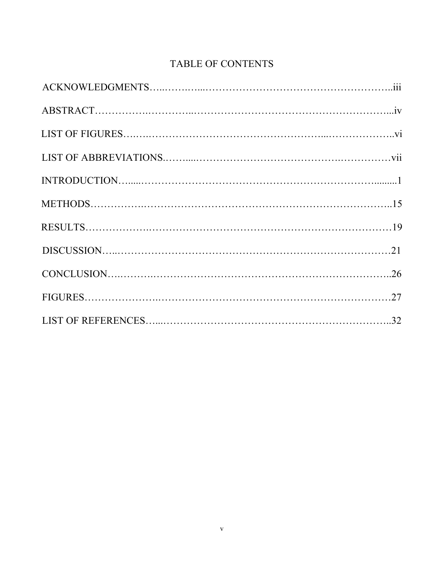# TABLE OF CONTENTS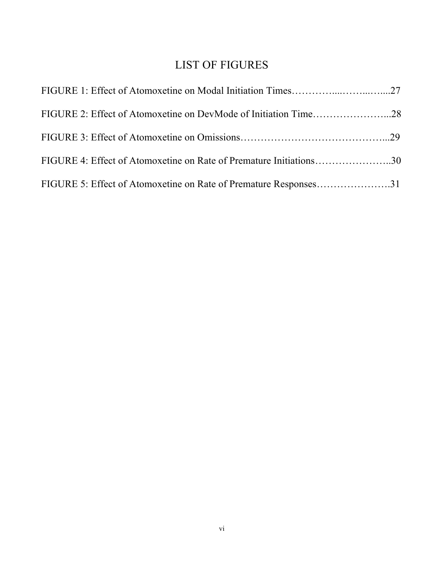# LIST OF FIGURES

| FIGURE 4: Effect of Atomoxetine on Rate of Premature Initiations30 |  |
|--------------------------------------------------------------------|--|
| FIGURE 5: Effect of Atomoxetine on Rate of Premature Responses31   |  |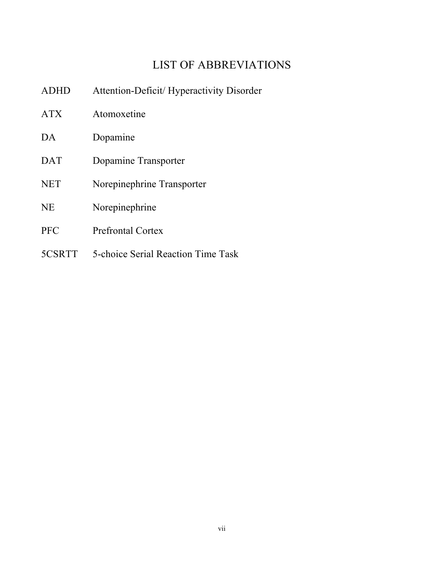# LIST OF ABBREVIATIONS

| <b>ADHD</b> | Attention-Deficit/Hyperactivity Disorder |
|-------------|------------------------------------------|
| <b>ATX</b>  | Atomoxetine                              |
| DA          | Dopamine                                 |
| <b>DAT</b>  | Dopamine Transporter                     |
| <b>NET</b>  | Norepinephrine Transporter               |
| <b>NE</b>   | Norepinephrine                           |
| <b>PFC</b>  | <b>Prefrontal Cortex</b>                 |
| 5CSRTT      | 5-choice Serial Reaction Time Task       |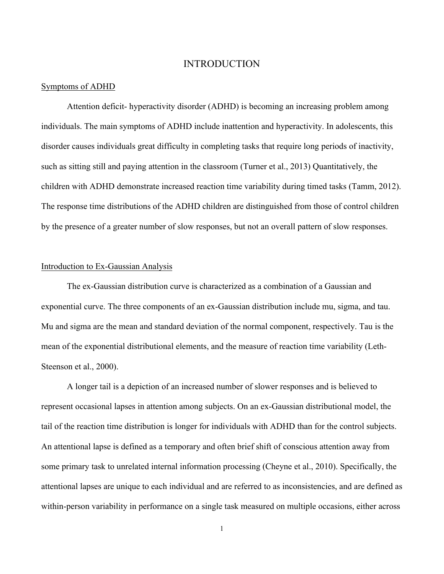## INTRODUCTION

#### Symptoms of ADHD

Attention deficit- hyperactivity disorder (ADHD) is becoming an increasing problem among individuals. The main symptoms of ADHD include inattention and hyperactivity. In adolescents, this disorder causes individuals great difficulty in completing tasks that require long periods of inactivity, such as sitting still and paying attention in the classroom (Turner et al., 2013) Quantitatively, the children with ADHD demonstrate increased reaction time variability during timed tasks (Tamm, 2012). The response time distributions of the ADHD children are distinguished from those of control children by the presence of a greater number of slow responses, but not an overall pattern of slow responses.

#### Introduction to Ex-Gaussian Analysis

The ex-Gaussian distribution curve is characterized as a combination of a Gaussian and exponential curve. The three components of an ex-Gaussian distribution include mu, sigma, and tau. Mu and sigma are the mean and standard deviation of the normal component, respectively. Tau is the mean of the exponential distributional elements, and the measure of reaction time variability (Leth-Steenson et al., 2000).

A longer tail is a depiction of an increased number of slower responses and is believed to represent occasional lapses in attention among subjects. On an ex-Gaussian distributional model, the tail of the reaction time distribution is longer for individuals with ADHD than for the control subjects. An attentional lapse is defined as a temporary and often brief shift of conscious attention away from some primary task to unrelated internal information processing (Cheyne et al., 2010). Specifically, the attentional lapses are unique to each individual and are referred to as inconsistencies, and are defined as within-person variability in performance on a single task measured on multiple occasions, either across

1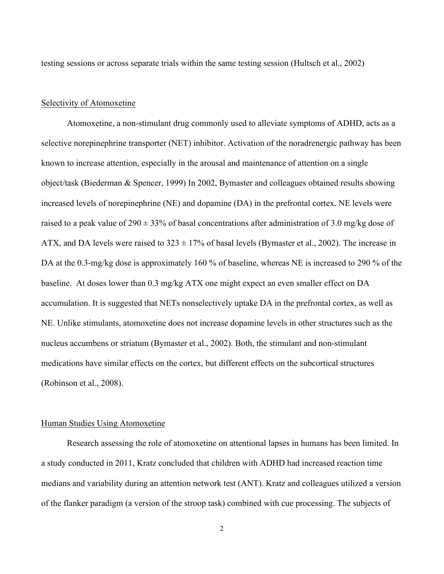testing sessions or across separate trials within the same testing session (Hultsch et al., 2002)

#### Selectivity of Atomoxetine

Atomoxetine, a non-stimulant drug commonly used to alleviate symptoms of ADHD, acts as a selective norepinephrine transporter (NET) inhibitor. Activation of the noradrenergic pathway has been known to increase attention, especially in the arousal and maintenance of attention on a single object/task (Biederman & Spencer, 1999) In 2002, Bymaster and colleagues obtained results showing increased levels of norepinephrine (NE) and dopamine (DA) in the prefrontal cortex. NE levels were raised to a peak value of 290  $\pm$  33% of basal concentrations after administration of 3.0 mg/kg dose of ATX, and DA levels were raised to  $323 \pm 17\%$  of basal levels (Bymaster et al., 2002). The increase in DA at the 0.3-mg/kg dose is approximately 160 % of baseline, whereas NE is increased to 290 % of the baseline. At doses lower than 0.3 mg/kg ATX one might expect an even smaller effect on DA accumulation. It is suggested that NETs nonselectively uptake DA in the prefrontal cortex, as well as NE. Unlike stimulants, atomoxetine does not increase dopamine levels in other structures such as the nucleus accumbens or striatum (Bymaster et al., 2002). Both, the stimulant and non-stimulant medications have similar effects on the cortex, but different effects on the subcortical structures (Robinson et al., 2008).

#### Human Studies Using Atomoxetine

Research assessing the role of atomoxetine on attentional lapses in humans has been limited. In a study conducted in 2011, Kratz concluded that children with ADHD had increased reaction time medians and variability during an attention network test (ANT). Kratz and colleagues utilized a version of the flanker paradigm (a version of the stroop task) combined with cue processing. The subjects of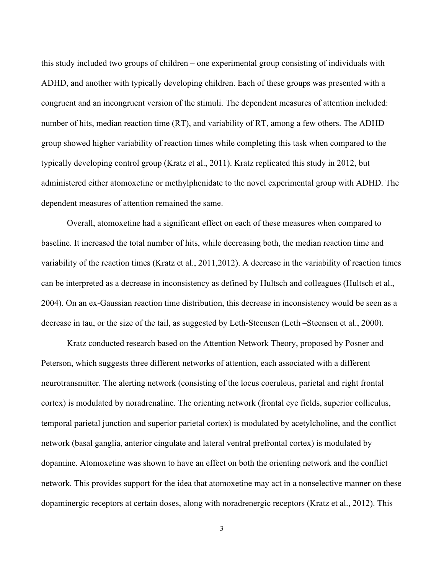this study included two groups of children – one experimental group consisting of individuals with ADHD, and another with typically developing children. Each of these groups was presented with a congruent and an incongruent version of the stimuli. The dependent measures of attention included: number of hits, median reaction time (RT), and variability of RT, among a few others. The ADHD group showed higher variability of reaction times while completing this task when compared to the typically developing control group (Kratz et al., 2011). Kratz replicated this study in 2012, but administered either atomoxetine or methylphenidate to the novel experimental group with ADHD. The dependent measures of attention remained the same.

Overall, atomoxetine had a significant effect on each of these measures when compared to baseline. It increased the total number of hits, while decreasing both, the median reaction time and variability of the reaction times (Kratz et al., 2011,2012). A decrease in the variability of reaction times can be interpreted as a decrease in inconsistency as defined by Hultsch and colleagues (Hultsch et al., 2004). On an ex-Gaussian reaction time distribution, this decrease in inconsistency would be seen as a decrease in tau, or the size of the tail, as suggested by Leth-Steensen (Leth –Steensen et al., 2000).

Kratz conducted research based on the Attention Network Theory, proposed by Posner and Peterson, which suggests three different networks of attention, each associated with a different neurotransmitter. The alerting network (consisting of the locus coeruleus, parietal and right frontal cortex) is modulated by noradrenaline. The orienting network (frontal eye fields, superior colliculus, temporal parietal junction and superior parietal cortex) is modulated by acetylcholine, and the conflict network (basal ganglia, anterior cingulate and lateral ventral prefrontal cortex) is modulated by dopamine. Atomoxetine was shown to have an effect on both the orienting network and the conflict network. This provides support for the idea that atomoxetine may act in a nonselective manner on these dopaminergic receptors at certain doses, along with noradrenergic receptors (Kratz et al., 2012). This

3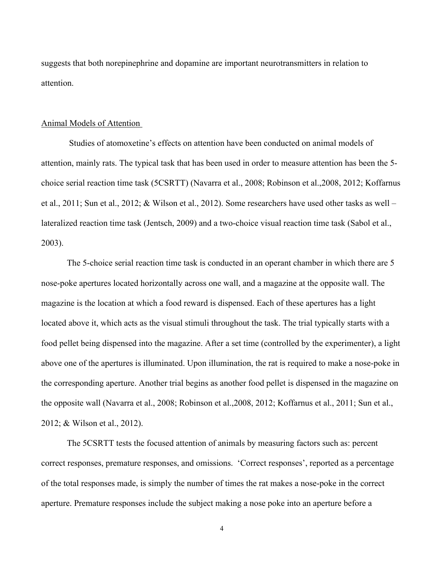suggests that both norepinephrine and dopamine are important neurotransmitters in relation to attention.

#### Animal Models of Attention

Studies of atomoxetine's effects on attention have been conducted on animal models of attention, mainly rats. The typical task that has been used in order to measure attention has been the 5 choice serial reaction time task (5CSRTT) (Navarra et al., 2008; Robinson et al.,2008, 2012; Koffarnus et al., 2011; Sun et al., 2012; & Wilson et al., 2012). Some researchers have used other tasks as well – lateralized reaction time task (Jentsch, 2009) and a two-choice visual reaction time task (Sabol et al., 2003).

The 5-choice serial reaction time task is conducted in an operant chamber in which there are 5 nose-poke apertures located horizontally across one wall, and a magazine at the opposite wall. The magazine is the location at which a food reward is dispensed. Each of these apertures has a light located above it, which acts as the visual stimuli throughout the task. The trial typically starts with a food pellet being dispensed into the magazine. After a set time (controlled by the experimenter), a light above one of the apertures is illuminated. Upon illumination, the rat is required to make a nose-poke in the corresponding aperture. Another trial begins as another food pellet is dispensed in the magazine on the opposite wall (Navarra et al., 2008; Robinson et al.,2008, 2012; Koffarnus et al., 2011; Sun et al., 2012; & Wilson et al., 2012).

The 5CSRTT tests the focused attention of animals by measuring factors such as: percent correct responses, premature responses, and omissions. 'Correct responses', reported as a percentage of the total responses made, is simply the number of times the rat makes a nose-poke in the correct aperture. Premature responses include the subject making a nose poke into an aperture before a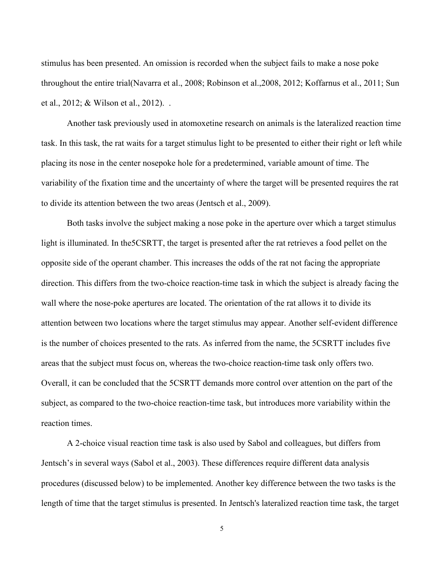stimulus has been presented. An omission is recorded when the subject fails to make a nose poke throughout the entire trial(Navarra et al., 2008; Robinson et al.,2008, 2012; Koffarnus et al., 2011; Sun et al., 2012; & Wilson et al., 2012). .

Another task previously used in atomoxetine research on animals is the lateralized reaction time task. In this task, the rat waits for a target stimulus light to be presented to either their right or left while placing its nose in the center nosepoke hole for a predetermined, variable amount of time. The variability of the fixation time and the uncertainty of where the target will be presented requires the rat to divide its attention between the two areas (Jentsch et al., 2009).

Both tasks involve the subject making a nose poke in the aperture over which a target stimulus light is illuminated. In the5CSRTT, the target is presented after the rat retrieves a food pellet on the opposite side of the operant chamber. This increases the odds of the rat not facing the appropriate direction. This differs from the two-choice reaction-time task in which the subject is already facing the wall where the nose-poke apertures are located. The orientation of the rat allows it to divide its attention between two locations where the target stimulus may appear. Another self-evident difference is the number of choices presented to the rats. As inferred from the name, the 5CSRTT includes five areas that the subject must focus on, whereas the two-choice reaction-time task only offers two. Overall, it can be concluded that the 5CSRTT demands more control over attention on the part of the subject, as compared to the two-choice reaction-time task, but introduces more variability within the reaction times.

A 2-choice visual reaction time task is also used by Sabol and colleagues, but differs from Jentsch's in several ways (Sabol et al., 2003). These differences require different data analysis procedures (discussed below) to be implemented. Another key difference between the two tasks is the length of time that the target stimulus is presented. In Jentsch's lateralized reaction time task, the target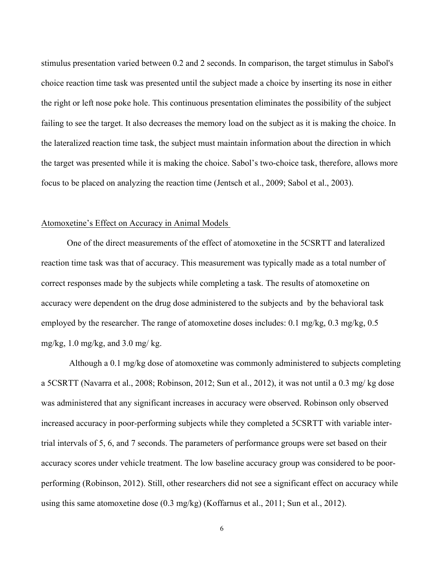stimulus presentation varied between 0.2 and 2 seconds. In comparison, the target stimulus in Sabol's choice reaction time task was presented until the subject made a choice by inserting its nose in either the right or left nose poke hole. This continuous presentation eliminates the possibility of the subject failing to see the target. It also decreases the memory load on the subject as it is making the choice. In the lateralized reaction time task, the subject must maintain information about the direction in which the target was presented while it is making the choice. Sabol's two-choice task, therefore, allows more focus to be placed on analyzing the reaction time (Jentsch et al., 2009; Sabol et al., 2003).

## Atomoxetine's Effect on Accuracy in Animal Models

One of the direct measurements of the effect of atomoxetine in the 5CSRTT and lateralized reaction time task was that of accuracy. This measurement was typically made as a total number of correct responses made by the subjects while completing a task. The results of atomoxetine on accuracy were dependent on the drug dose administered to the subjects and by the behavioral task employed by the researcher. The range of atomoxetine doses includes: 0.1 mg/kg, 0.3 mg/kg, 0.5 mg/kg,  $1.0$  mg/kg, and  $3.0$  mg/kg.

Although a 0.1 mg/kg dose of atomoxetine was commonly administered to subjects completing a 5CSRTT (Navarra et al., 2008; Robinson, 2012; Sun et al., 2012), it was not until a 0.3 mg/ kg dose was administered that any significant increases in accuracy were observed. Robinson only observed increased accuracy in poor-performing subjects while they completed a 5CSRTT with variable intertrial intervals of 5, 6, and 7 seconds. The parameters of performance groups were set based on their accuracy scores under vehicle treatment. The low baseline accuracy group was considered to be poorperforming (Robinson, 2012). Still, other researchers did not see a significant effect on accuracy while using this same atomoxetine dose  $(0.3 \text{ mg/kg})$  (Koffarnus et al., 2011; Sun et al., 2012).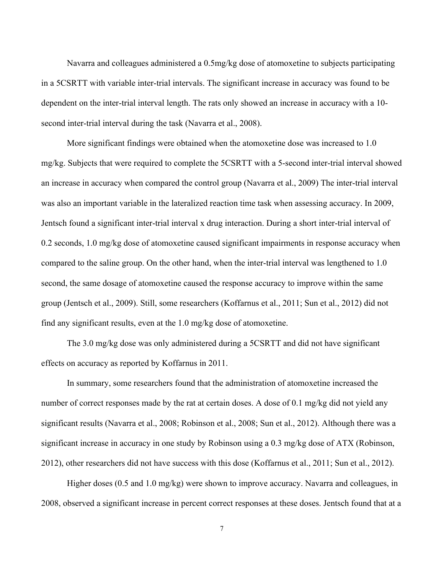Navarra and colleagues administered a 0.5mg/kg dose of atomoxetine to subjects participating in a 5CSRTT with variable inter-trial intervals. The significant increase in accuracy was found to be dependent on the inter-trial interval length. The rats only showed an increase in accuracy with a 10 second inter-trial interval during the task (Navarra et al., 2008).

More significant findings were obtained when the atomoxetine dose was increased to 1.0 mg/kg. Subjects that were required to complete the 5CSRTT with a 5-second inter-trial interval showed an increase in accuracy when compared the control group (Navarra et al., 2009) The inter-trial interval was also an important variable in the lateralized reaction time task when assessing accuracy. In 2009, Jentsch found a significant inter-trial interval x drug interaction. During a short inter-trial interval of 0.2 seconds, 1.0 mg/kg dose of atomoxetine caused significant impairments in response accuracy when compared to the saline group. On the other hand, when the inter-trial interval was lengthened to 1.0 second, the same dosage of atomoxetine caused the response accuracy to improve within the same group (Jentsch et al., 2009). Still, some researchers (Koffarnus et al., 2011; Sun et al., 2012) did not find any significant results, even at the 1.0 mg/kg dose of atomoxetine.

The 3.0 mg/kg dose was only administered during a 5CSRTT and did not have significant effects on accuracy as reported by Koffarnus in 2011.

In summary, some researchers found that the administration of atomoxetine increased the number of correct responses made by the rat at certain doses. A dose of 0.1 mg/kg did not yield any significant results (Navarra et al., 2008; Robinson et al., 2008; Sun et al., 2012). Although there was a significant increase in accuracy in one study by Robinson using a 0.3 mg/kg dose of ATX (Robinson, 2012), other researchers did not have success with this dose (Koffarnus et al., 2011; Sun et al., 2012).

Higher doses (0.5 and 1.0 mg/kg) were shown to improve accuracy. Navarra and colleagues, in 2008, observed a significant increase in percent correct responses at these doses. Jentsch found that at a

7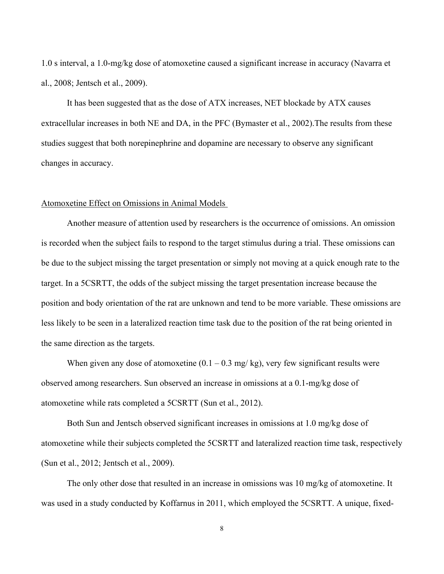1.0 s interval, a 1.0-mg/kg dose of atomoxetine caused a significant increase in accuracy (Navarra et al., 2008; Jentsch et al., 2009).

It has been suggested that as the dose of ATX increases, NET blockade by ATX causes extracellular increases in both NE and DA, in the PFC (Bymaster et al., 2002).The results from these studies suggest that both norepinephrine and dopamine are necessary to observe any significant changes in accuracy.

#### Atomoxetine Effect on Omissions in Animal Models

Another measure of attention used by researchers is the occurrence of omissions. An omission is recorded when the subject fails to respond to the target stimulus during a trial. These omissions can be due to the subject missing the target presentation or simply not moving at a quick enough rate to the target. In a 5CSRTT, the odds of the subject missing the target presentation increase because the position and body orientation of the rat are unknown and tend to be more variable. These omissions are less likely to be seen in a lateralized reaction time task due to the position of the rat being oriented in the same direction as the targets.

When given any dose of atomoxetine  $(0.1 - 0.3 \text{ mg/kg})$ , very few significant results were observed among researchers. Sun observed an increase in omissions at a 0.1-mg/kg dose of atomoxetine while rats completed a 5CSRTT (Sun et al., 2012).

Both Sun and Jentsch observed significant increases in omissions at 1.0 mg/kg dose of atomoxetine while their subjects completed the 5CSRTT and lateralized reaction time task, respectively (Sun et al., 2012; Jentsch et al., 2009).

The only other dose that resulted in an increase in omissions was 10 mg/kg of atomoxetine. It was used in a study conducted by Koffarnus in 2011, which employed the 5CSRTT. A unique, fixed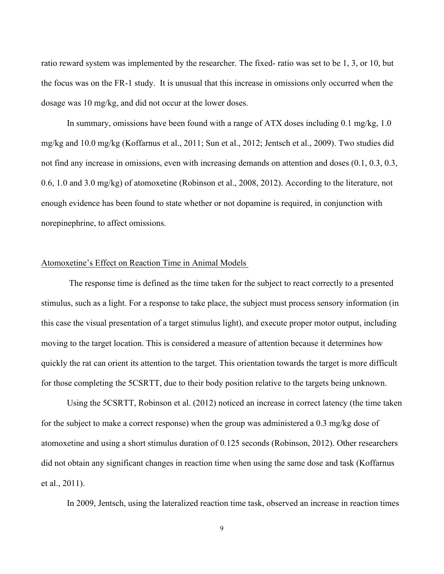ratio reward system was implemented by the researcher. The fixed- ratio was set to be 1, 3, or 10, but the focus was on the FR-1 study. It is unusual that this increase in omissions only occurred when the dosage was 10 mg/kg, and did not occur at the lower doses.

In summary, omissions have been found with a range of ATX doses including 0.1 mg/kg, 1.0 mg/kg and 10.0 mg/kg (Koffarnus et al., 2011; Sun et al., 2012; Jentsch et al., 2009). Two studies did not find any increase in omissions, even with increasing demands on attention and doses (0.1, 0.3, 0.3, 0.6, 1.0 and 3.0 mg/kg) of atomoxetine (Robinson et al., 2008, 2012). According to the literature, not enough evidence has been found to state whether or not dopamine is required, in conjunction with norepinephrine, to affect omissions.

## Atomoxetine's Effect on Reaction Time in Animal Models

The response time is defined as the time taken for the subject to react correctly to a presented stimulus, such as a light. For a response to take place, the subject must process sensory information (in this case the visual presentation of a target stimulus light), and execute proper motor output, including moving to the target location. This is considered a measure of attention because it determines how quickly the rat can orient its attention to the target. This orientation towards the target is more difficult for those completing the 5CSRTT, due to their body position relative to the targets being unknown.

Using the 5CSRTT, Robinson et al. (2012) noticed an increase in correct latency (the time taken for the subject to make a correct response) when the group was administered a 0.3 mg/kg dose of atomoxetine and using a short stimulus duration of 0.125 seconds (Robinson, 2012). Other researchers did not obtain any significant changes in reaction time when using the same dose and task (Koffarnus et al., 2011).

In 2009, Jentsch, using the lateralized reaction time task, observed an increase in reaction times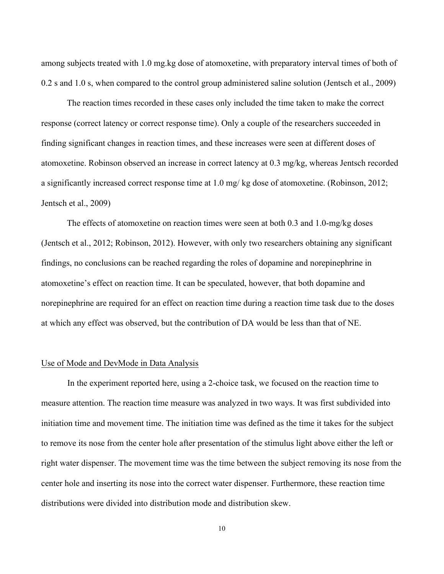among subjects treated with 1.0 mg.kg dose of atomoxetine, with preparatory interval times of both of 0.2 s and 1.0 s, when compared to the control group administered saline solution (Jentsch et al., 2009)

The reaction times recorded in these cases only included the time taken to make the correct response (correct latency or correct response time). Only a couple of the researchers succeeded in finding significant changes in reaction times, and these increases were seen at different doses of atomoxetine. Robinson observed an increase in correct latency at 0.3 mg/kg, whereas Jentsch recorded a significantly increased correct response time at 1.0 mg/ kg dose of atomoxetine. (Robinson, 2012; Jentsch et al., 2009)

The effects of atomoxetine on reaction times were seen at both 0.3 and 1.0-mg/kg doses (Jentsch et al., 2012; Robinson, 2012). However, with only two researchers obtaining any significant findings, no conclusions can be reached regarding the roles of dopamine and norepinephrine in atomoxetine's effect on reaction time. It can be speculated, however, that both dopamine and norepinephrine are required for an effect on reaction time during a reaction time task due to the doses at which any effect was observed, but the contribution of DA would be less than that of NE.

#### Use of Mode and DevMode in Data Analysis

In the experiment reported here, using a 2-choice task, we focused on the reaction time to measure attention. The reaction time measure was analyzed in two ways. It was first subdivided into initiation time and movement time. The initiation time was defined as the time it takes for the subject to remove its nose from the center hole after presentation of the stimulus light above either the left or right water dispenser. The movement time was the time between the subject removing its nose from the center hole and inserting its nose into the correct water dispenser. Furthermore, these reaction time distributions were divided into distribution mode and distribution skew.

10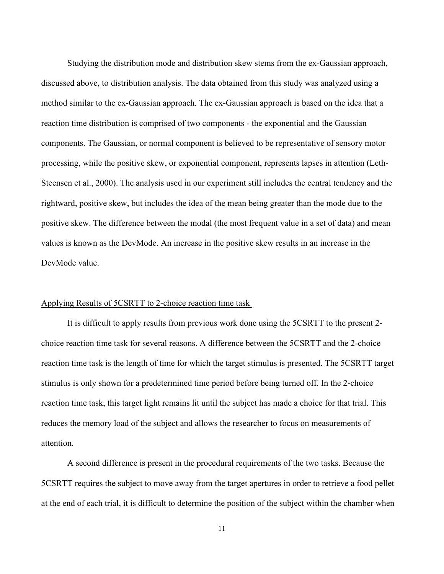Studying the distribution mode and distribution skew stems from the ex-Gaussian approach, discussed above, to distribution analysis. The data obtained from this study was analyzed using a method similar to the ex-Gaussian approach. The ex-Gaussian approach is based on the idea that a reaction time distribution is comprised of two components - the exponential and the Gaussian components. The Gaussian, or normal component is believed to be representative of sensory motor processing, while the positive skew, or exponential component, represents lapses in attention (Leth-Steensen et al., 2000). The analysis used in our experiment still includes the central tendency and the rightward, positive skew, but includes the idea of the mean being greater than the mode due to the positive skew. The difference between the modal (the most frequent value in a set of data) and mean values is known as the DevMode. An increase in the positive skew results in an increase in the DevMode value.

## Applying Results of 5CSRTT to 2-choice reaction time task

It is difficult to apply results from previous work done using the 5CSRTT to the present 2 choice reaction time task for several reasons. A difference between the 5CSRTT and the 2-choice reaction time task is the length of time for which the target stimulus is presented. The 5CSRTT target stimulus is only shown for a predetermined time period before being turned off. In the 2-choice reaction time task, this target light remains lit until the subject has made a choice for that trial. This reduces the memory load of the subject and allows the researcher to focus on measurements of attention.

A second difference is present in the procedural requirements of the two tasks. Because the 5CSRTT requires the subject to move away from the target apertures in order to retrieve a food pellet at the end of each trial, it is difficult to determine the position of the subject within the chamber when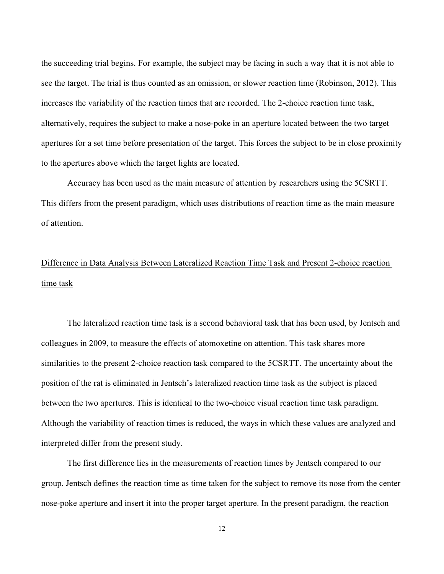the succeeding trial begins. For example, the subject may be facing in such a way that it is not able to see the target. The trial is thus counted as an omission, or slower reaction time (Robinson, 2012). This increases the variability of the reaction times that are recorded. The 2-choice reaction time task, alternatively, requires the subject to make a nose-poke in an aperture located between the two target apertures for a set time before presentation of the target. This forces the subject to be in close proximity to the apertures above which the target lights are located.

Accuracy has been used as the main measure of attention by researchers using the 5CSRTT. This differs from the present paradigm, which uses distributions of reaction time as the main measure of attention.

# Difference in Data Analysis Between Lateralized Reaction Time Task and Present 2-choice reaction time task

The lateralized reaction time task is a second behavioral task that has been used, by Jentsch and colleagues in 2009, to measure the effects of atomoxetine on attention. This task shares more similarities to the present 2-choice reaction task compared to the 5CSRTT. The uncertainty about the position of the rat is eliminated in Jentsch's lateralized reaction time task as the subject is placed between the two apertures. This is identical to the two-choice visual reaction time task paradigm. Although the variability of reaction times is reduced, the ways in which these values are analyzed and interpreted differ from the present study.

The first difference lies in the measurements of reaction times by Jentsch compared to our group. Jentsch defines the reaction time as time taken for the subject to remove its nose from the center nose-poke aperture and insert it into the proper target aperture. In the present paradigm, the reaction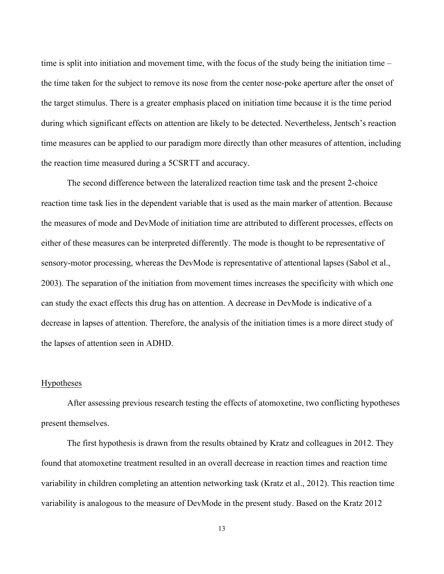time is split into initiation and movement time, with the focus of the study being the initiation time – the time taken for the subject to remove its nose from the center nose-poke aperture after the onset of the target stimulus. There is a greater emphasis placed on initiation time because it is the time period during which significant effects on attention are likely to be detected. Nevertheless, Jentsch's reaction time measures can be applied to our paradigm more directly than other measures of attention, including the reaction time measured during a 5CSRTT and accuracy.

The second difference between the lateralized reaction time task and the present 2-choice reaction time task lies in the dependent variable that is used as the main marker of attention. Because the measures of mode and DevMode of initiation time are attributed to different processes, effects on either of these measures can be interpreted differently. The mode is thought to be representative of sensory-motor processing, whereas the DevMode is representative of attentional lapses (Sabol et al., 2003). The separation of the initiation from movement times increases the specificity with which one can study the exact effects this drug has on attention. A decrease in DevMode is indicative of a decrease in lapses of attention. Therefore, the analysis of the initiation times is a more direct study of the lapses of attention seen in ADHD.

#### Hypotheses

After assessing previous research testing the effects of atomoxetine, two conflicting hypotheses present themselves.

The first hypothesis is drawn from the results obtained by Kratz and colleagues in 2012. They found that atomoxetine treatment resulted in an overall decrease in reaction times and reaction time variability in children completing an attention networking task (Kratz et al., 2012). This reaction time variability is analogous to the measure of DevMode in the present study. Based on the Kratz 2012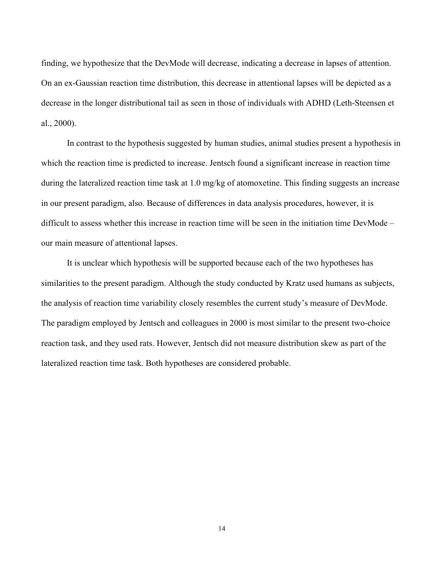finding, we hypothesize that the DevMode will decrease, indicating a decrease in lapses of attention. On an ex-Gaussian reaction time distribution, this decrease in attentional lapses will be depicted as a decrease in the longer distributional tail as seen in those of individuals with ADHD (Leth-Steensen et al., 2000).

In contrast to the hypothesis suggested by human studies, animal studies present a hypothesis in which the reaction time is predicted to increase. Jentsch found a significant increase in reaction time during the lateralized reaction time task at 1.0 mg/kg of atomoxetine. This finding suggests an increase in our present paradigm, also. Because of differences in data analysis procedures, however, it is difficult to assess whether this increase in reaction time will be seen in the initiation time DevMode – our main measure of attentional lapses.

It is unclear which hypothesis will be supported because each of the two hypotheses has similarities to the present paradigm. Although the study conducted by Kratz used humans as subjects, the analysis of reaction time variability closely resembles the current study's measure of DevMode. The paradigm employed by Jentsch and colleagues in 2000 is most similar to the present two-choice reaction task, and they used rats. However, Jentsch did not measure distribution skew as part of the lateralized reaction time task. Both hypotheses are considered probable.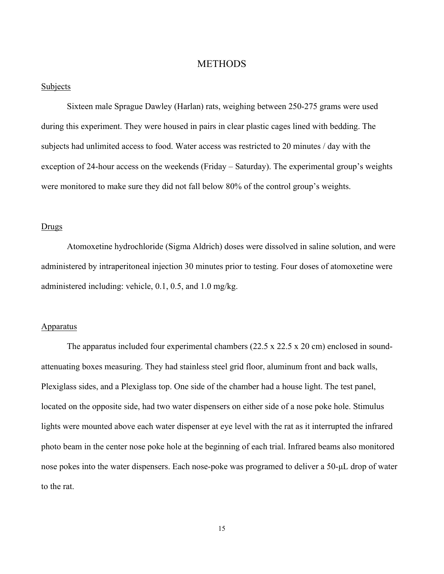## **METHODS**

#### Subjects

Sixteen male Sprague Dawley (Harlan) rats, weighing between 250-275 grams were used during this experiment. They were housed in pairs in clear plastic cages lined with bedding. The subjects had unlimited access to food. Water access was restricted to 20 minutes / day with the exception of 24-hour access on the weekends (Friday – Saturday). The experimental group's weights were monitored to make sure they did not fall below 80% of the control group's weights.

#### Drugs

Atomoxetine hydrochloride (Sigma Aldrich) doses were dissolved in saline solution, and were administered by intraperitoneal injection 30 minutes prior to testing. Four doses of atomoxetine were administered including: vehicle, 0.1, 0.5, and 1.0 mg/kg.

### Apparatus

The apparatus included four experimental chambers (22.5 x 22.5 x 20 cm) enclosed in soundattenuating boxes measuring. They had stainless steel grid floor, aluminum front and back walls, Plexiglass sides, and a Plexiglass top. One side of the chamber had a house light. The test panel, located on the opposite side, had two water dispensers on either side of a nose poke hole. Stimulus lights were mounted above each water dispenser at eye level with the rat as it interrupted the infrared photo beam in the center nose poke hole at the beginning of each trial. Infrared beams also monitored nose pokes into the water dispensers. Each nose-poke was programed to deliver a 50-µL drop of water to the rat.

15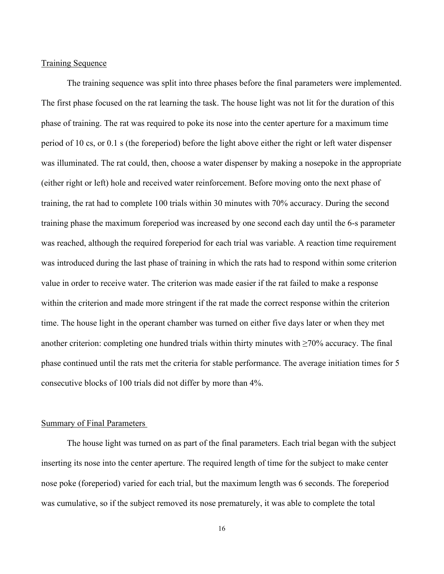#### Training Sequence

The training sequence was split into three phases before the final parameters were implemented. The first phase focused on the rat learning the task. The house light was not lit for the duration of this phase of training. The rat was required to poke its nose into the center aperture for a maximum time period of 10 cs, or 0.1 s (the foreperiod) before the light above either the right or left water dispenser was illuminated. The rat could, then, choose a water dispenser by making a nosepoke in the appropriate (either right or left) hole and received water reinforcement. Before moving onto the next phase of training, the rat had to complete 100 trials within 30 minutes with 70% accuracy. During the second training phase the maximum foreperiod was increased by one second each day until the 6-s parameter was reached, although the required foreperiod for each trial was variable. A reaction time requirement was introduced during the last phase of training in which the rats had to respond within some criterion value in order to receive water. The criterion was made easier if the rat failed to make a response within the criterion and made more stringent if the rat made the correct response within the criterion time. The house light in the operant chamber was turned on either five days later or when they met another criterion: completing one hundred trials within thirty minutes with  $\geq 70\%$  accuracy. The final phase continued until the rats met the criteria for stable performance. The average initiation times for 5 consecutive blocks of 100 trials did not differ by more than 4%.

#### Summary of Final Parameters

The house light was turned on as part of the final parameters. Each trial began with the subject inserting its nose into the center aperture. The required length of time for the subject to make center nose poke (foreperiod) varied for each trial, but the maximum length was 6 seconds. The foreperiod was cumulative, so if the subject removed its nose prematurely, it was able to complete the total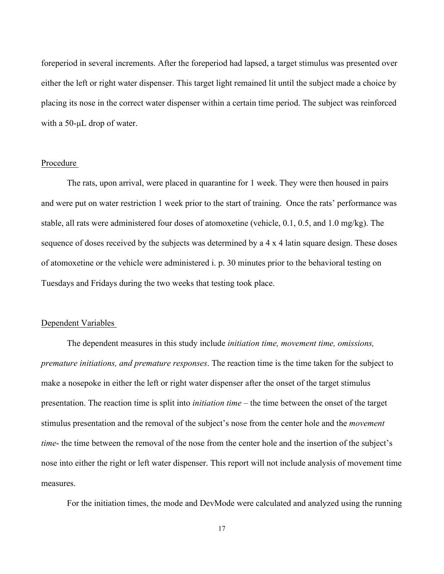foreperiod in several increments. After the foreperiod had lapsed, a target stimulus was presented over either the left or right water dispenser. This target light remained lit until the subject made a choice by placing its nose in the correct water dispenser within a certain time period. The subject was reinforced with a 50-µL drop of water.

#### Procedure

The rats, upon arrival, were placed in quarantine for 1 week. They were then housed in pairs and were put on water restriction 1 week prior to the start of training. Once the rats' performance was stable, all rats were administered four doses of atomoxetine (vehicle, 0.1, 0.5, and 1.0 mg/kg). The sequence of doses received by the subjects was determined by a 4 x 4 latin square design. These doses of atomoxetine or the vehicle were administered i. p. 30 minutes prior to the behavioral testing on Tuesdays and Fridays during the two weeks that testing took place.

#### Dependent Variables

The dependent measures in this study include *initiation time, movement time, omissions, premature initiations, and premature responses*. The reaction time is the time taken for the subject to make a nosepoke in either the left or right water dispenser after the onset of the target stimulus presentation. The reaction time is split into *initiation time* – the time between the onset of the target stimulus presentation and the removal of the subject's nose from the center hole and the *movement time*- the time between the removal of the nose from the center hole and the insertion of the subject's nose into either the right or left water dispenser. This report will not include analysis of movement time measures.

For the initiation times, the mode and DevMode were calculated and analyzed using the running

17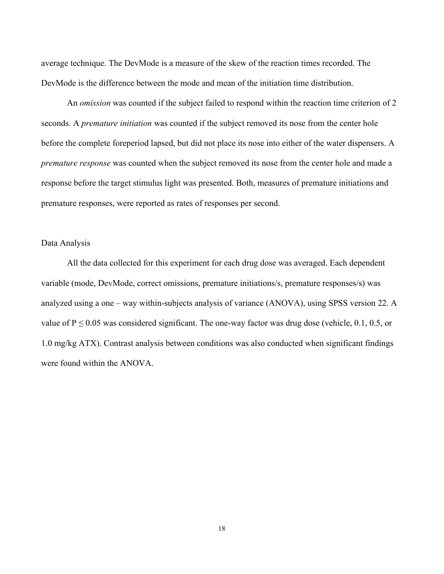average technique. The DevMode is a measure of the skew of the reaction times recorded. The DevMode is the difference between the mode and mean of the initiation time distribution.

An *omission* was counted if the subject failed to respond within the reaction time criterion of 2 seconds. A *premature initiation* was counted if the subject removed its nose from the center hole before the complete foreperiod lapsed, but did not place its nose into either of the water dispensers. A *premature response* was counted when the subject removed its nose from the center hole and made a response before the target stimulus light was presented. Both, measures of premature initiations and premature responses, were reported as rates of responses per second.

#### Data Analysis

All the data collected for this experiment for each drug dose was averaged. Each dependent variable (mode, DevMode, correct omissions, premature initiations/s, premature responses/s) was analyzed using a one – way within-subjects analysis of variance (ANOVA), using SPSS version 22. A value of  $P \le 0.05$  was considered significant. The one-way factor was drug dose (vehicle, 0.1, 0.5, or 1.0 mg/kg ATX). Contrast analysis between conditions was also conducted when significant findings were found within the ANOVA.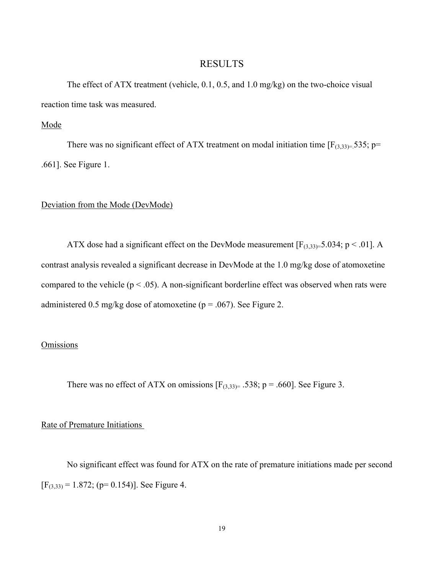## RESULTS

The effect of ATX treatment (vehicle, 0.1, 0.5, and 1.0 mg/kg) on the two-choice visual reaction time task was measured.

Mode

There was no significant effect of ATX treatment on modal initiation time  $[F_{(3,33) =} 535; p=$ .661]. See Figure 1.

#### Deviation from the Mode (DevMode)

ATX dose had a significant effect on the DevMode measurement  $[F_{(3,33)}=5.034; p < .01]$ . A contrast analysis revealed a significant decrease in DevMode at the 1.0 mg/kg dose of atomoxetine compared to the vehicle  $(p < .05)$ . A non-significant borderline effect was observed when rats were administered 0.5 mg/kg dose of atomoxetine ( $p = .067$ ). See Figure 2.

## **Omissions**

There was no effect of ATX on omissions  $[F_{(3,33)}]$  = .538; p = .660]. See Figure 3.

### Rate of Premature Initiations

No significant effect was found for ATX on the rate of premature initiations made per second  $[F_{(3,33)} = 1.872; (p= 0.154)]$ . See Figure 4.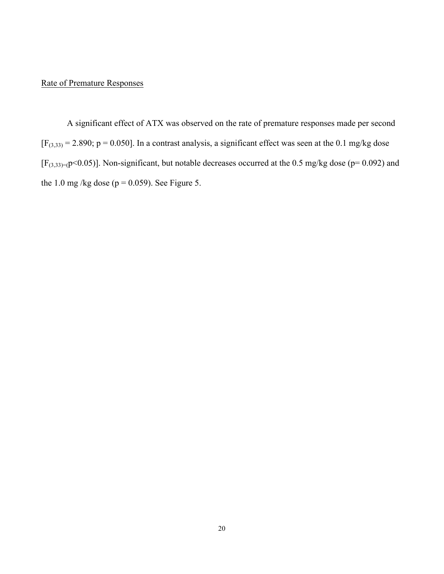## Rate of Premature Responses

A significant effect of ATX was observed on the rate of premature responses made per second  $[F_{(3,33)}]$  = 2.890; p = 0.050]. In a contrast analysis, a significant effect was seen at the 0.1 mg/kg dose  $[F_{(3,33)=(p<0.05)}]$ . Non-significant, but notable decreases occurred at the 0.5 mg/kg dose (p= 0.092) and the 1.0 mg/kg dose ( $p = 0.059$ ). See Figure 5.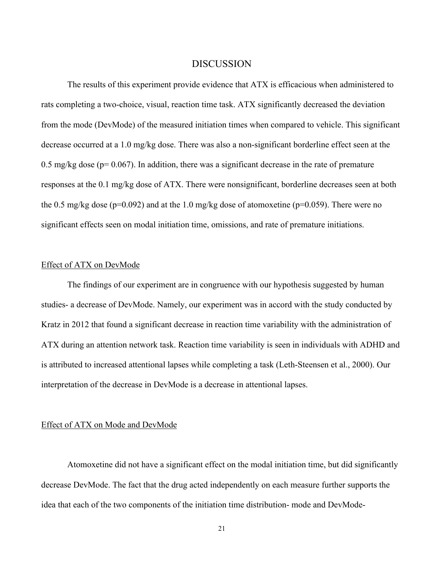## **DISCUSSION**

The results of this experiment provide evidence that ATX is efficacious when administered to rats completing a two-choice, visual, reaction time task. ATX significantly decreased the deviation from the mode (DevMode) of the measured initiation times when compared to vehicle. This significant decrease occurred at a 1.0 mg/kg dose. There was also a non-significant borderline effect seen at the 0.5 mg/kg dose ( $p= 0.067$ ). In addition, there was a significant decrease in the rate of premature responses at the 0.1 mg/kg dose of ATX. There were nonsignificant, borderline decreases seen at both the 0.5 mg/kg dose ( $p=0.092$ ) and at the 1.0 mg/kg dose of atomoxetine ( $p=0.059$ ). There were no significant effects seen on modal initiation time, omissions, and rate of premature initiations.

#### Effect of ATX on DevMode

The findings of our experiment are in congruence with our hypothesis suggested by human studies- a decrease of DevMode. Namely, our experiment was in accord with the study conducted by Kratz in 2012 that found a significant decrease in reaction time variability with the administration of ATX during an attention network task. Reaction time variability is seen in individuals with ADHD and is attributed to increased attentional lapses while completing a task (Leth-Steensen et al., 2000). Our interpretation of the decrease in DevMode is a decrease in attentional lapses.

#### Effect of ATX on Mode and DevMode

Atomoxetine did not have a significant effect on the modal initiation time, but did significantly decrease DevMode. The fact that the drug acted independently on each measure further supports the idea that each of the two components of the initiation time distribution- mode and DevMode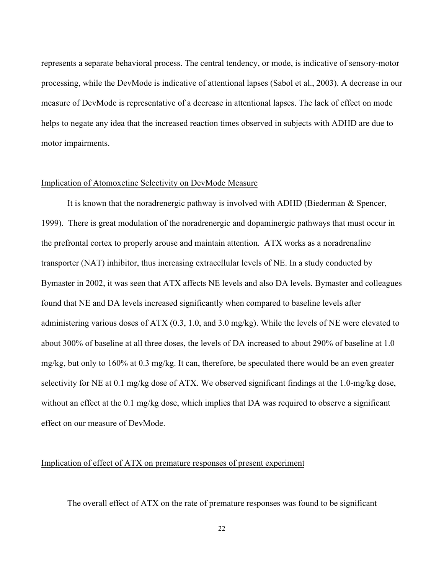represents a separate behavioral process. The central tendency, or mode, is indicative of sensory-motor processing, while the DevMode is indicative of attentional lapses (Sabol et al., 2003). A decrease in our measure of DevMode is representative of a decrease in attentional lapses. The lack of effect on mode helps to negate any idea that the increased reaction times observed in subjects with ADHD are due to motor impairments.

### Implication of Atomoxetine Selectivity on DevMode Measure

It is known that the noradrenergic pathway is involved with ADHD (Biederman & Spencer, 1999). There is great modulation of the noradrenergic and dopaminergic pathways that must occur in the prefrontal cortex to properly arouse and maintain attention. ATX works as a noradrenaline transporter (NAT) inhibitor, thus increasing extracellular levels of NE. In a study conducted by Bymaster in 2002, it was seen that ATX affects NE levels and also DA levels. Bymaster and colleagues found that NE and DA levels increased significantly when compared to baseline levels after administering various doses of ATX (0.3, 1.0, and 3.0 mg/kg). While the levels of NE were elevated to about 300% of baseline at all three doses, the levels of DA increased to about 290% of baseline at 1.0 mg/kg, but only to 160% at 0.3 mg/kg. It can, therefore, be speculated there would be an even greater selectivity for NE at 0.1 mg/kg dose of ATX. We observed significant findings at the 1.0-mg/kg dose, without an effect at the 0.1 mg/kg dose, which implies that DA was required to observe a significant effect on our measure of DevMode.

## Implication of effect of ATX on premature responses of present experiment

The overall effect of ATX on the rate of premature responses was found to be significant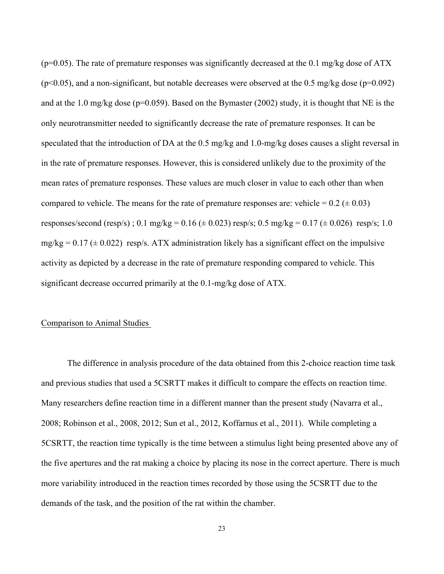$(p=0.05)$ . The rate of premature responses was significantly decreased at the 0.1 mg/kg dose of ATX  $(p<0.05)$ , and a non-significant, but notable decreases were observed at the 0.5 mg/kg dose ( $p=0.092$ ) and at the 1.0 mg/kg dose (p=0.059). Based on the Bymaster (2002) study, it is thought that NE is the only neurotransmitter needed to significantly decrease the rate of premature responses. It can be speculated that the introduction of DA at the 0.5 mg/kg and 1.0-mg/kg doses causes a slight reversal in in the rate of premature responses. However, this is considered unlikely due to the proximity of the mean rates of premature responses. These values are much closer in value to each other than when compared to vehicle. The means for the rate of premature responses are: vehicle =  $0.2 (\pm 0.03)$ responses/second (resp/s); 0.1 mg/kg = 0.16 ( $\pm$  0.023) resp/s; 0.5 mg/kg = 0.17 ( $\pm$  0.026) resp/s; 1.0  $mg/kg = 0.17 \ (\pm 0.022)$  resp/s. ATX administration likely has a significant effect on the impulsive activity as depicted by a decrease in the rate of premature responding compared to vehicle. This significant decrease occurred primarily at the 0.1-mg/kg dose of ATX.

#### Comparison to Animal Studies

The difference in analysis procedure of the data obtained from this 2-choice reaction time task and previous studies that used a 5CSRTT makes it difficult to compare the effects on reaction time. Many researchers define reaction time in a different manner than the present study (Navarra et al., 2008; Robinson et al., 2008, 2012; Sun et al., 2012, Koffarnus et al., 2011). While completing a 5CSRTT, the reaction time typically is the time between a stimulus light being presented above any of the five apertures and the rat making a choice by placing its nose in the correct aperture. There is much more variability introduced in the reaction times recorded by those using the 5CSRTT due to the demands of the task, and the position of the rat within the chamber.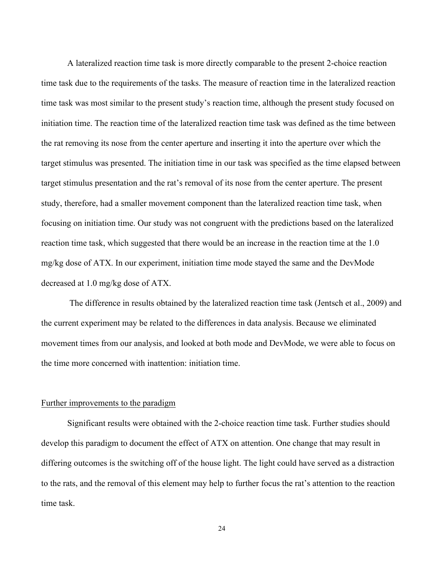A lateralized reaction time task is more directly comparable to the present 2-choice reaction time task due to the requirements of the tasks. The measure of reaction time in the lateralized reaction time task was most similar to the present study's reaction time, although the present study focused on initiation time. The reaction time of the lateralized reaction time task was defined as the time between the rat removing its nose from the center aperture and inserting it into the aperture over which the target stimulus was presented. The initiation time in our task was specified as the time elapsed between target stimulus presentation and the rat's removal of its nose from the center aperture. The present study, therefore, had a smaller movement component than the lateralized reaction time task, when focusing on initiation time. Our study was not congruent with the predictions based on the lateralized reaction time task, which suggested that there would be an increase in the reaction time at the 1.0 mg/kg dose of ATX. In our experiment, initiation time mode stayed the same and the DevMode decreased at 1.0 mg/kg dose of ATX.

The difference in results obtained by the lateralized reaction time task (Jentsch et al., 2009) and the current experiment may be related to the differences in data analysis. Because we eliminated movement times from our analysis, and looked at both mode and DevMode, we were able to focus on the time more concerned with inattention: initiation time.

## Further improvements to the paradigm

Significant results were obtained with the 2-choice reaction time task. Further studies should develop this paradigm to document the effect of ATX on attention. One change that may result in differing outcomes is the switching off of the house light. The light could have served as a distraction to the rats, and the removal of this element may help to further focus the rat's attention to the reaction time task.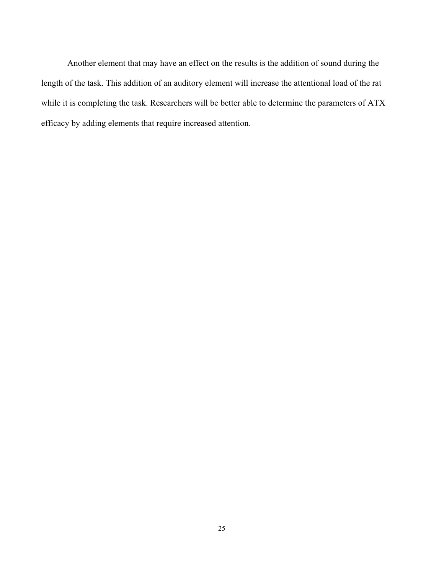Another element that may have an effect on the results is the addition of sound during the length of the task. This addition of an auditory element will increase the attentional load of the rat while it is completing the task. Researchers will be better able to determine the parameters of ATX efficacy by adding elements that require increased attention.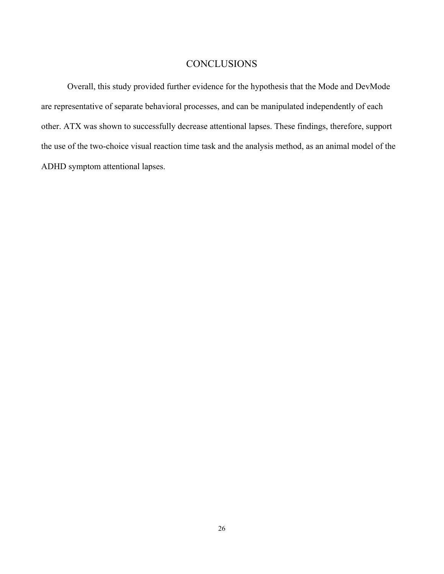## **CONCLUSIONS**

Overall, this study provided further evidence for the hypothesis that the Mode and DevMode are representative of separate behavioral processes, and can be manipulated independently of each other. ATX was shown to successfully decrease attentional lapses. These findings, therefore, support the use of the two-choice visual reaction time task and the analysis method, as an animal model of the ADHD symptom attentional lapses.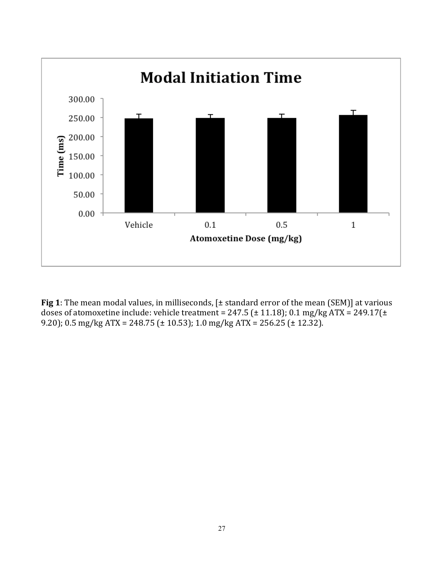

**Fig 1**: The mean modal values, in milliseconds,  $[±$  standard error of the mean (SEM)] at various doses of atomoxetine include: vehicle treatment = 247.5 ( $\pm$  11.18); 0.1 mg/kg ATX = 249.17( $\pm$ 9.20); 0.5 mg/kg ATX = 248.75 ( $\pm$  10.53); 1.0 mg/kg ATX = 256.25 ( $\pm$  12.32).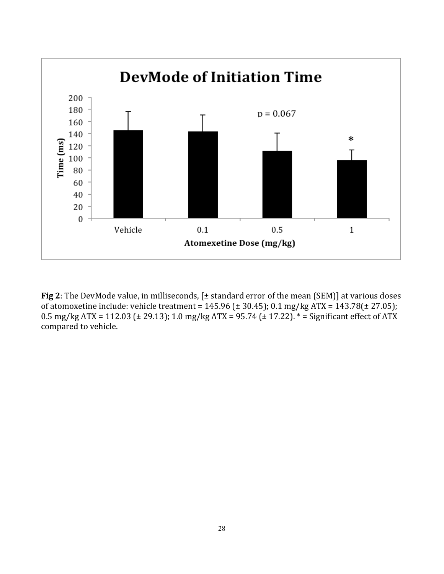

**Fig 2**: The DevMode value, in milliseconds,  $[±$  standard error of the mean  $(SEM)$ ] at various doses of atomoxetine include: vehicle treatment = 145.96 ( $\pm$  30.45); 0.1 mg/kg ATX = 143.78( $\pm$  27.05); 0.5 mg/kg ATX = 112.03 ( $\pm$  29.13); 1.0 mg/kg ATX = 95.74 ( $\pm$  17.22).  $*$  = Significant effect of ATX compared to vehicle.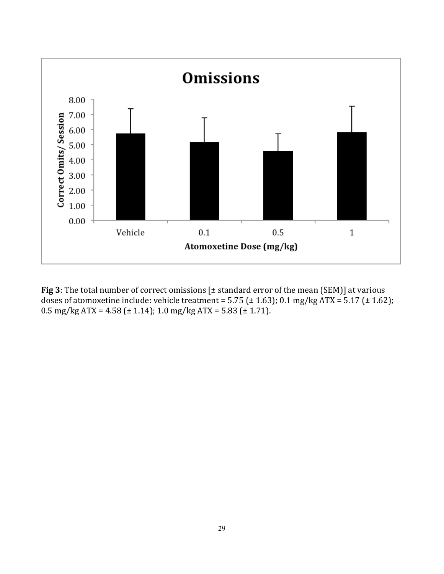

**Fig 3**: The total number of correct omissions  $[\pm$  standard error of the mean (SEM)] at various doses of atomoxetine include: vehicle treatment = 5.75 ( $\pm$  1.63); 0.1 mg/kg ATX = 5.17 ( $\pm$  1.62);  $0.5 \text{ mg/kg}$  ATX = 4.58 ( $\pm$  1.14); 1.0 mg/kg ATX = 5.83 ( $\pm$  1.71).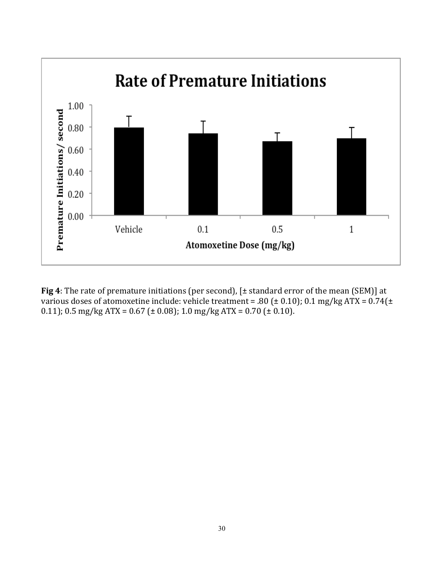

**Fig 4**: The rate of premature initiations (per second),  $[\pm$  standard error of the mean (SEM)] at various doses of atomoxetine include: vehicle treatment = .80 ( $\pm$  0.10); 0.1 mg/kg ATX = 0.74( $\pm$ 0.11);  $0.5 \text{ mg/kg}$  ATX = 0.67 ( $\pm$  0.08); 1.0 mg/kg ATX = 0.70 ( $\pm$  0.10).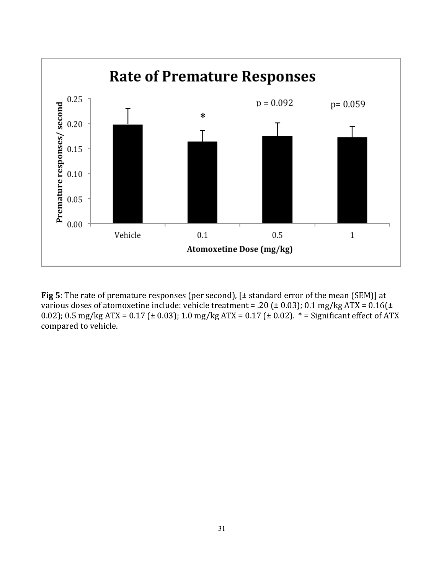

**Fig 5**: The rate of premature responses (per second),  $[t$  standard error of the mean (SEM)] at various doses of atomoxetine include: vehicle treatment = .20 ( $\pm$  0.03); 0.1 mg/kg ATX = 0.16( $\pm$ 0.02); 0.5 mg/kg ATX = 0.17 ( $\pm$  0.03); 1.0 mg/kg ATX = 0.17 ( $\pm$  0.02).  $*$  = Significant effect of ATX compared to vehicle.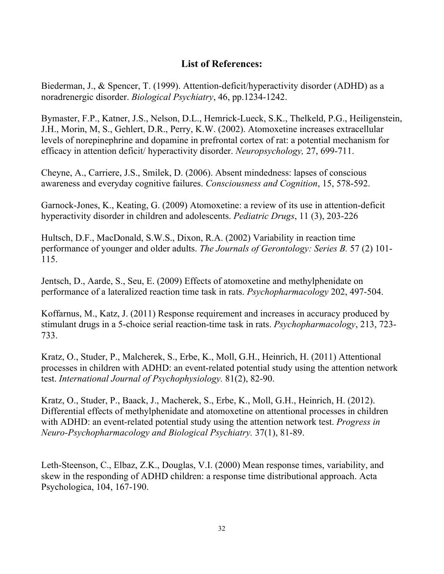## **List of References:**

Biederman, J., & Spencer, T. (1999). Attention-deficit/hyperactivity disorder (ADHD) as a noradrenergic disorder. *Biological Psychiatry*, 46, pp.1234-1242.

Bymaster, F.P., Katner, J.S., Nelson, D.L., Hemrick-Lueck, S.K., Thelkeld, P.G., Heiligenstein, J.H., Morin, M, S., Gehlert, D.R., Perry, K.W. (2002). Atomoxetine increases extracellular levels of norepinephrine and dopamine in prefrontal cortex of rat: a potential mechanism for efficacy in attention deficit/ hyperactivity disorder. *Neuropsychology,* 27, 699-711.

Cheyne, A., Carriere, J.S., Smilek, D. (2006). Absent mindedness: lapses of conscious awareness and everyday cognitive failures. *Consciousness and Cognition*, 15, 578-592.

Garnock-Jones, K., Keating, G. (2009) Atomoxetine: a review of its use in attention-deficit hyperactivity disorder in children and adolescents. *Pediatric Drugs*, 11 (3), 203-226

Hultsch, D.F., MacDonald, S.W.S., Dixon, R.A. (2002) Variability in reaction time performance of younger and older adults. *The Journals of Gerontology: Series B.* 57 (2) 101- 115.

Jentsch, D., Aarde, S., Seu, E. (2009) Effects of atomoxetine and methylphenidate on performance of a lateralized reaction time task in rats. *Psychopharmacology* 202, 497-504.

Koffarnus, M., Katz, J. (2011) Response requirement and increases in accuracy produced by stimulant drugs in a 5-choice serial reaction-time task in rats. *Psychopharmacology*, 213, 723- 733.

Kratz, O., Studer, P., Malcherek, S., Erbe, K., Moll, G.H., Heinrich, H. (2011) Attentional processes in children with ADHD: an event-related potential study using the attention network test. *International Journal of Psychophysiology.* 81(2), 82-90.

Kratz, O., Studer, P., Baack, J., Macherek, S., Erbe, K., Moll, G.H., Heinrich, H. (2012). Differential effects of methylphenidate and atomoxetine on attentional processes in children with ADHD: an event-related potential study using the attention network test. *Progress in Neuro-Psychopharmacology and Biological Psychiatry.* 37(1), 81-89.

Leth-Steenson, C., Elbaz, Z.K., Douglas, V.I. (2000) Mean response times, variability, and skew in the responding of ADHD children: a response time distributional approach. Acta Psychologica, 104, 167-190.